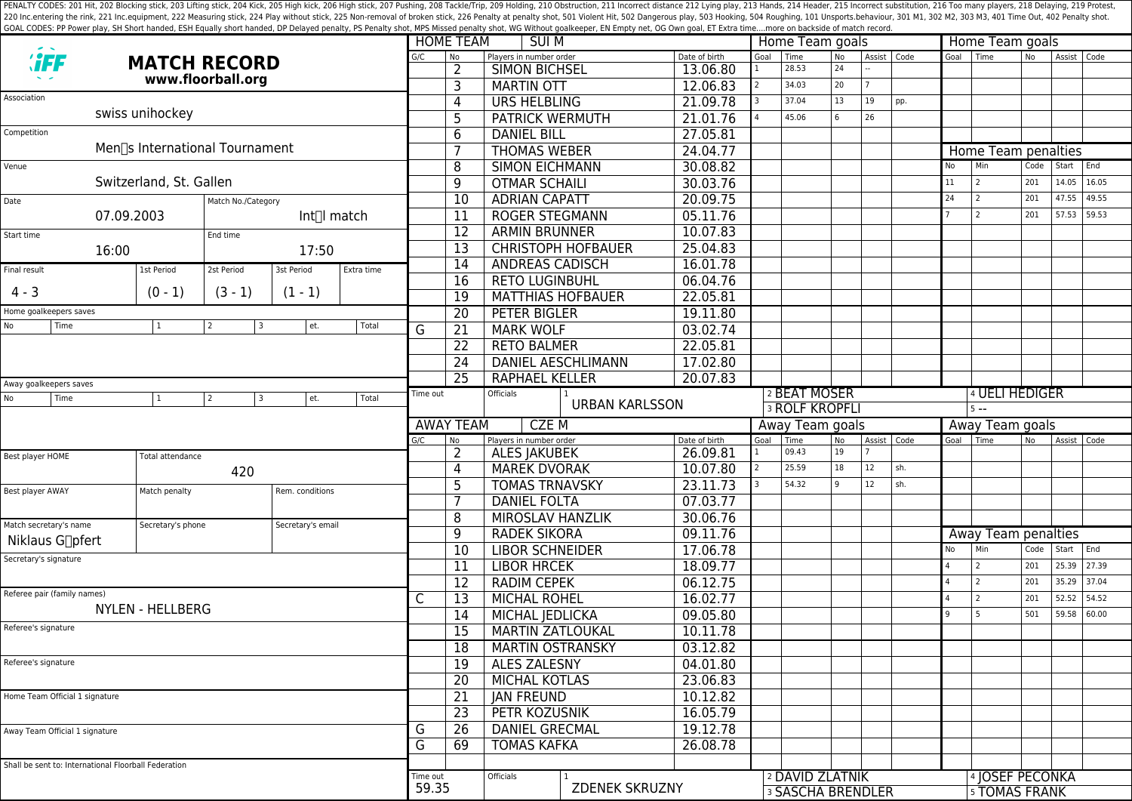PENALTY CODES: 201 Hit, 202 Blocking stick, 203 Lifting stick, 204 Kick, 204 Kick, 205 High kick, 204 Kick, 205 High kick, 206 High stick, 206 High stick, 206 High stick, 206 High stick, 207 Pushing, 208 Tackle/Trip, 209 H 220 Inc.entering the rink, 221 Inc.equipment, 222 Measuring stick, 224 Play without stick, 225 Non-removal of broken stick, 225 Poralty shot, 501 Violent Hit, 502 Dangerous play, 503 Hooking, 504 Roughing, 101 Unsports.beh GOAL CODES: PP Power play, SH Short handed, ESH Equally short handed, DP Delayed penalty, PS Penalty shot, MPS Missed penalty shot, WG Without goalkeeper, EN Empty net, OG Own goal, ET Extra time....more on backside of mat

|                                                                                |                                |                    |                   |                        |                                 | <b>HOME TEAM</b><br><b>SUI M</b> |                          |                           |               |                       | Home Team goals                             |    |             |           | Home Team goals |                                                    |       |             |       |  |
|--------------------------------------------------------------------------------|--------------------------------|--------------------|-------------------|------------------------|---------------------------------|----------------------------------|--------------------------|---------------------------|---------------|-----------------------|---------------------------------------------|----|-------------|-----------|-----------------|----------------------------------------------------|-------|-------------|-------|--|
| <b><i>``FF</i></b><br><b>MATCH RECORD</b>                                      |                                |                    | G/C               | No                     | Players in number order         |                                  | Date of birth            | Goal                      | Time          | No                    | Assist Code                                 |    |             | Goal Time | N <sub>o</sub>  | Assist Code                                        |       |             |       |  |
| www.floorball.org                                                              |                                |                    |                   |                        |                                 | $\overline{2}$                   | <b>SIMON BICHSEL</b>     |                           | 13.06.80      |                       | 28.53                                       | 24 |             |           |                 |                                                    |       |             |       |  |
|                                                                                |                                |                    |                   |                        |                                 | 3                                | <b>MARTIN OTT</b>        |                           | 12.06.83      |                       | 34.03                                       | 20 |             |           |                 |                                                    |       |             |       |  |
| Association                                                                    |                                |                    | 4                 | <b>URS HELBLING</b>    |                                 | 21.09.78                         |                          | 37.04                     | 13            | 19                    | pp.                                         |    |             |           |                 |                                                    |       |             |       |  |
| swiss unihockey                                                                |                                |                    | 5                 | <b>PATRICK WERMUTH</b> |                                 | 21.01.76                         |                          | 45.06                     | 6             | 26                    |                                             |    |             |           |                 |                                                    |       |             |       |  |
| Competition                                                                    |                                |                    |                   |                        |                                 | 6                                | <b>DANIEL BILL</b>       |                           | 27.05.81      |                       |                                             |    |             |           |                 |                                                    |       |             |       |  |
|                                                                                | Men∏s International Tournament |                    |                   |                        |                                 |                                  | <b>THOMAS WEBER</b>      |                           | 24.04.77      |                       |                                             |    |             |           |                 | Home Team penalties                                |       |             |       |  |
| Venue                                                                          |                                |                    |                   |                        |                                 | 8                                | <b>SIMON EICHMANN</b>    |                           | 30.08.82      |                       |                                             |    |             |           | No              | Min                                                | Code  | Start End   |       |  |
| Switzerland, St. Gallen                                                        |                                |                    |                   |                        |                                 | 9                                | <b>OTMAR SCHAILI</b>     |                           | 30.03.76      |                       |                                             |    |             |           | 11              | $\overline{2}$                                     | 201   | 14.05       | 16.05 |  |
| Date                                                                           |                                | Match No./Category |                   |                        |                                 | 10                               | <b>ADRIAN CAPATT</b>     |                           | 20.09.75      |                       |                                             |    |             |           | 24              | 2                                                  | 201   | 47.55       | 49.55 |  |
| 07.09.2003<br>Int∏l match                                                      |                                |                    |                   | 11                     | <b>ROGER STEGMANN</b>           |                                  | 05.11.76                 |                           |               |                       |                                             |    |             | 2         | 201             | 57.53                                              | 59.53 |             |       |  |
| Start time                                                                     | End time                       |                    |                   |                        | 12                              | <b>ARMIN BRUNNER</b>             |                          | 10.07.83                  |               |                       |                                             |    |             |           |                 |                                                    |       |             |       |  |
| 16:00                                                                          |                                | 17:50              |                   |                        |                                 | $\overline{13}$                  |                          | <b>CHRISTOPH HOFBAUER</b> | 25.04.83      |                       |                                             |    |             |           |                 |                                                    |       |             |       |  |
| Final result                                                                   | 1st Period                     | 2st Period         | 3st Period        | Extra time             |                                 | $\overline{14}$                  | <b>ANDREAS CADISCH</b>   |                           | 16.01.78      |                       |                                             |    |             |           |                 |                                                    |       |             |       |  |
|                                                                                |                                |                    |                   |                        |                                 | 16                               | <b>RETO LUGINBUHL</b>    |                           | 06.04.76      |                       |                                             |    |             |           |                 |                                                    |       |             |       |  |
| $4 - 3$                                                                        | $(0 - 1)$                      | $(3 - 1)$          | $(1 - 1)$         |                        |                                 | 19                               | <b>MATTHIAS HOFBAUER</b> |                           | 22.05.81      |                       |                                             |    |             |           |                 |                                                    |       |             |       |  |
| Home goalkeepers saves                                                         |                                |                    |                   |                        |                                 | 20                               | <b>PETER BIGLER</b>      |                           | 19.11.80      |                       |                                             |    |             |           |                 |                                                    |       |             |       |  |
| No<br>Time                                                                     | $\mathbf{1}$                   | 2<br>3             | et.               | Total                  | G                               | $\overline{21}$                  | <b>MARK WOLF</b>         |                           | 03.02.74      |                       |                                             |    |             |           |                 |                                                    |       |             |       |  |
|                                                                                |                                |                    |                   |                        |                                 | 22                               | <b>RETO BALMER</b>       |                           | 22.05.81      |                       |                                             |    |             |           |                 |                                                    |       |             |       |  |
|                                                                                |                                |                    |                   |                        |                                 | 24                               |                          | <b>DANIEL AESCHLIMANN</b> | 17.02.80      |                       |                                             |    |             |           |                 |                                                    |       |             |       |  |
|                                                                                |                                |                    |                   |                        |                                 | 25                               | <b>RAPHAEL KELLER</b>    |                           | 20.07.83      |                       |                                             |    |             |           |                 |                                                    |       |             |       |  |
| Away goalkeepers saves<br>Total<br>No<br>Time<br>et.<br>$\mathbf{1}$<br>2<br>3 |                                |                    |                   |                        |                                 | Time out                         | <b>Officials</b>         |                           |               | 2 BEAT MOSER          |                                             |    |             |           |                 | 4 UELI HEDIGER                                     |       |             |       |  |
|                                                                                |                                |                    |                   |                        |                                 |                                  | <b>URBAN KARLSSON</b>    |                           |               | <b>3 ROLF KROPFLI</b> |                                             |    |             |           | $5 - -$         |                                                    |       |             |       |  |
|                                                                                |                                |                    |                   |                        | <b>CZEM</b><br><b>AWAY TEAM</b> |                                  |                          |                           |               | Away Team goals       |                                             |    |             |           | Away Team goals |                                                    |       |             |       |  |
|                                                                                |                                |                    |                   |                        | G/C                             | No                               | Players in number order  |                           | Date of birth | Goal                  | Time                                        | No | Assist Code |           |                 | Goal   Time                                        | No    | Assist Code |       |  |
| Best player HOME                                                               | Total attendance               |                    |                   |                        |                                 | $\overline{2}$                   | <b>ALES JAKUBEK</b>      |                           | 26.09.81      | $\mathbf{1}$          | 09.43                                       | 19 |             |           |                 |                                                    |       |             |       |  |
|                                                                                |                                | 420                |                   |                        |                                 | 4                                | <b>MAREK DVORAK</b>      |                           | 10.07.80      |                       | 25.59                                       | 18 | 12          | sh.       |                 |                                                    |       |             |       |  |
| Best player AWAY                                                               | Match penalty                  | Rem. conditions    |                   |                        |                                 | 5                                | <b>TOMAS TRNAVSKY</b>    |                           | 23.11.73      |                       | 54.32                                       |    | 12          | sh.       |                 |                                                    |       |             |       |  |
|                                                                                |                                |                    |                   |                        |                                 |                                  | <b>DANIEL FOLTA</b>      |                           | 07.03.77      |                       |                                             |    |             |           |                 |                                                    |       |             |       |  |
| Match secretary's name                                                         | Secretary's phone              |                    | Secretary's email |                        |                                 | 8                                | MIROSLAV HANZLIK         |                           | 30.06.76      |                       |                                             |    |             |           |                 |                                                    |       |             |       |  |
| <b>Niklaus G</b> ∏pfert                                                        |                                |                    |                   |                        |                                 | 9                                | <b>RADEK SIKORA</b>      |                           | 09.11.76      |                       |                                             |    |             |           |                 | Away Team penalties                                |       |             |       |  |
| Secretary's signature                                                          |                                |                    |                   | 10                     | <b>LIBOR SCHNEIDER</b>          |                                  | 17.06.78                 |                           |               |                       |                                             |    | No          | Min       | Code            | Start End                                          |       |             |       |  |
|                                                                                |                                |                    |                   |                        |                                 | 11                               | <b>LIBOR HRCEK</b>       |                           | 18.09.77      |                       |                                             |    |             |           |                 | 2                                                  | 201   | 25.39 27.39 |       |  |
| Referee pair (family names)                                                    |                                |                    |                   |                        | С                               | $\overline{12}$                  | <b>RADIM CEPEK</b>       |                           | 06.12.75      |                       |                                             |    |             |           | 4               | $\overline{2}$                                     | 201   | 35.29 37.04 |       |  |
| NYLEN - HELLBERG                                                               |                                |                    |                   |                        |                                 | 13                               | <b>MICHAL ROHEL</b>      |                           | 16.02.77      |                       |                                             |    |             |           |                 | 2                                                  | 201   | 52.52       | 54.52 |  |
|                                                                                |                                |                    |                   |                        |                                 | 14                               | MICHAL JEDLICKA          |                           | 09.05.80      |                       |                                             |    |             |           |                 | 5                                                  | 501   | 59.58       | 60.00 |  |
| Referee's signature                                                            |                                |                    |                   |                        |                                 | $\overline{15}$                  | <b>MARTIN ZATLOUKAL</b>  |                           | 10.11.78      |                       |                                             |    |             |           |                 |                                                    |       |             |       |  |
|                                                                                |                                |                    |                   |                        |                                 | $\overline{18}$                  | <b>MARTIN OSTRANSKY</b>  |                           | 03.12.82      |                       |                                             |    |             |           |                 |                                                    |       |             |       |  |
| Referee's signature                                                            |                                |                    |                   |                        |                                 | 19                               | <b>ALES ZALESNY</b>      |                           | 04.01.80      |                       |                                             |    |             |           |                 |                                                    |       |             |       |  |
|                                                                                |                                |                    |                   |                        |                                 | 20                               | <b>MICHAL KOTLAS</b>     |                           | 23.06.83      |                       |                                             |    |             |           |                 |                                                    |       |             |       |  |
| Home Team Official 1 signature                                                 |                                |                    |                   |                        |                                 | 21                               | <b>JAN FREUND</b>        |                           | 10.12.82      |                       |                                             |    |             |           |                 |                                                    |       |             |       |  |
|                                                                                |                                |                    |                   |                        |                                 | $\overline{23}$                  | PETR KOZUSNIK            |                           | 16.05.79      |                       |                                             |    |             |           |                 |                                                    |       |             |       |  |
| Away Team Official 1 signature                                                 |                                |                    |                   | G                      | 26                              | <b>DANIEL GRECMAL</b>            |                          | 19.12.78                  |               |                       |                                             |    |             |           |                 |                                                    |       |             |       |  |
|                                                                                |                                |                    | G                 | 69                     | <b>TOMAS KAFKA</b>              |                                  | 26.08.78                 |                           |               |                       |                                             |    |             |           |                 |                                                    |       |             |       |  |
| Shall be sent to: International Floorball Federation                           |                                |                    |                   |                        |                                 |                                  |                          |                           |               |                       |                                             |    |             |           |                 |                                                    |       |             |       |  |
|                                                                                |                                |                    |                   |                        |                                 |                                  | <b>Officials</b>         |                           |               |                       |                                             |    |             |           |                 |                                                    |       |             |       |  |
|                                                                                |                                |                    |                   |                        | Time out<br>59.35               |                                  |                          | <b>ZDENEK SKRUZNY</b>     |               |                       | 2 DAVID ZLATNIK<br><b>3 SASCHA BRENDLER</b> |    |             |           |                 | <sup>4</sup> JOSEF PECONKA<br><b>5 TOMAS FRANK</b> |       |             |       |  |